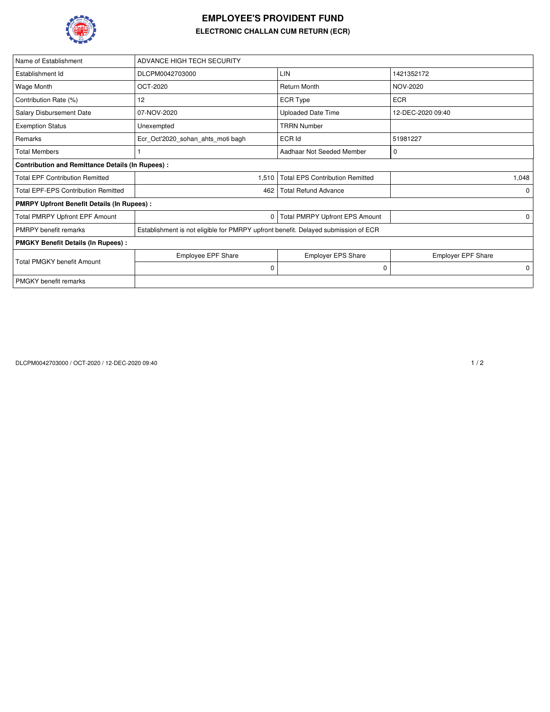

## **EMPLOYEE'S PROVIDENT FUND ELECTRONIC CHALLAN CUM RETURN (ECR)**

| Name of Establishment                                   | ADVANCE HIGH TECH SECURITY                                                         |                                        |                           |  |  |  |  |  |
|---------------------------------------------------------|------------------------------------------------------------------------------------|----------------------------------------|---------------------------|--|--|--|--|--|
| Establishment Id                                        | DLCPM0042703000                                                                    | LIN                                    | 1421352172                |  |  |  |  |  |
| Wage Month                                              | OCT-2020                                                                           | <b>Return Month</b>                    | NOV-2020                  |  |  |  |  |  |
| Contribution Rate (%)                                   | 12                                                                                 | <b>ECR Type</b>                        | <b>ECR</b>                |  |  |  |  |  |
| Salary Disbursement Date                                | 07-NOV-2020                                                                        | <b>Uploaded Date Time</b>              | 12-DEC-2020 09:40         |  |  |  |  |  |
| <b>Exemption Status</b>                                 | Unexempted                                                                         | <b>TRRN Number</b>                     |                           |  |  |  |  |  |
| Remarks                                                 | Ecr Oct'2020 sohan ahts moti bagh                                                  | ECR Id                                 | 51981227                  |  |  |  |  |  |
| <b>Total Members</b>                                    |                                                                                    | Aadhaar Not Seeded Member              | 0                         |  |  |  |  |  |
| <b>Contribution and Remittance Details (In Rupees):</b> |                                                                                    |                                        |                           |  |  |  |  |  |
| <b>Total EPF Contribution Remitted</b>                  | 1,510                                                                              | <b>Total EPS Contribution Remitted</b> | 1,048                     |  |  |  |  |  |
| <b>Total EPF-EPS Contribution Remitted</b>              | 462                                                                                | <b>Total Refund Advance</b>            | $\Omega$                  |  |  |  |  |  |
| <b>PMRPY Upfront Benefit Details (In Rupees):</b>       |                                                                                    |                                        |                           |  |  |  |  |  |
| <b>Total PMRPY Upfront EPF Amount</b>                   | 0                                                                                  | <b>Total PMRPY Upfront EPS Amount</b>  | 0                         |  |  |  |  |  |
| <b>PMRPY</b> benefit remarks                            | Establishment is not eligible for PMRPY upfront benefit. Delayed submission of ECR |                                        |                           |  |  |  |  |  |
| <b>PMGKY Benefit Details (In Rupees):</b>               |                                                                                    |                                        |                           |  |  |  |  |  |
| <b>Total PMGKY benefit Amount</b>                       | <b>Employee EPF Share</b>                                                          | <b>Employer EPS Share</b>              | <b>Employer EPF Share</b> |  |  |  |  |  |
|                                                         | 0                                                                                  | 0                                      | 0                         |  |  |  |  |  |
| <b>PMGKY</b> benefit remarks                            |                                                                                    |                                        |                           |  |  |  |  |  |

DLCPM0042703000 / OCT-2020 / 12-DEC-2020 09:40 1 / 2